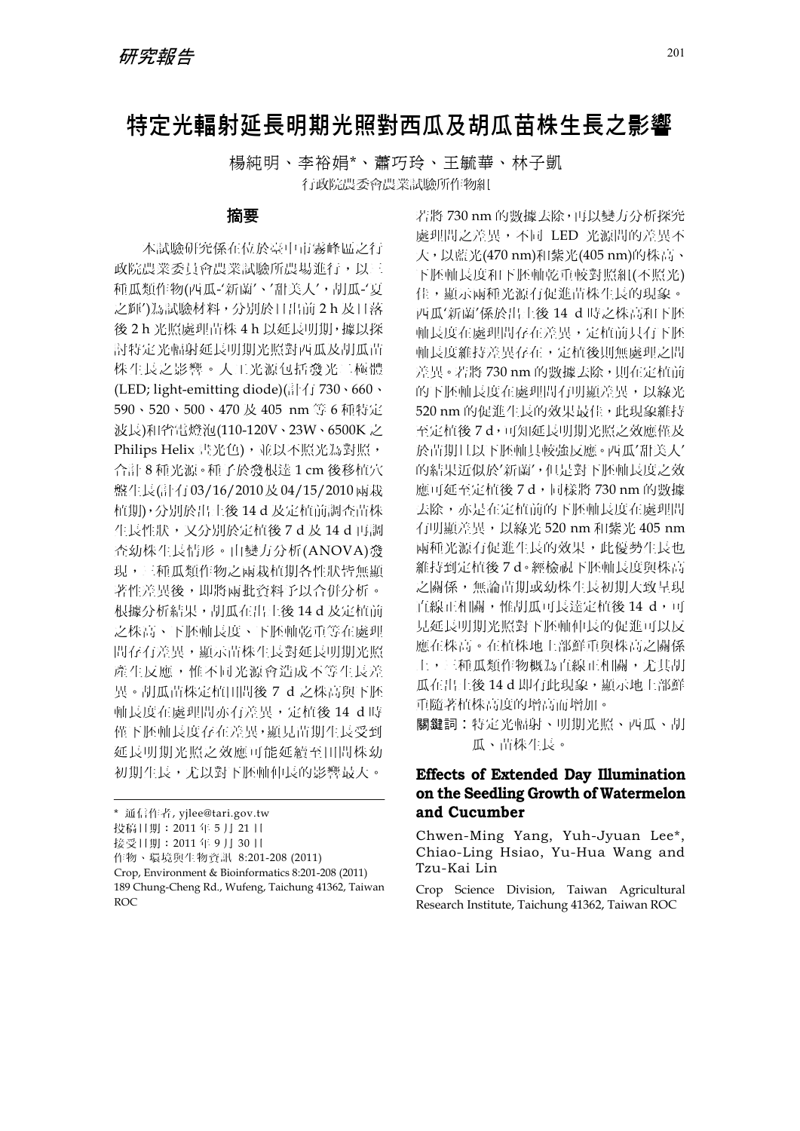# 特定光輻射延長明期光照對西瓜及胡瓜苗株生長之影響

楊純明、李裕娟\*、蕭巧玲、王毓華、林子凱 行政院農委會農業試驗所作物組

### 摘要

本試驗研究係在位於臺中市霧峰區之行 政院農業委員會農業試驗所農場進行,以三 種瓜類作物(西瓜-'新蘭'、'甜美人',胡瓜-'夏 之輝')為試驗材料,分別於日出前 2 h 及日落 後 2 h 光照處理苗株 4 h 以延長明期,據以探 討特定光輻射延長明期光照對西瓜及胡瓜苗 株生長之影響。人工光源包括發光二極體 (LED; light-emitting diode)(計有 730、660、 590、520、500、470 及 405 nm 等 6 種特定 波長)和省電燈泡(110-120V、23W、6500K 之 Philips Helix 書光色), 並以不照光為對照, 合計 8 種光源。種子於發根達 1 cm 後移植穴 盤生長(計有 03/16/2010及 04/15/2010兩栽 植期),分別於出土後 14 d 及定植前調查苗株 生長性狀,又分別於定植後 7 d 及 14 d 再調 查幼株生長情形。由變方分析(ANOVA)發 現,三種瓜類作物之兩栽植期各性狀皆無顯 著性差異後,即將兩批資料予以合併分析。 根據分析結果,胡瓜在出土後 14 d 及定植前 之株高、下胚軸長度、下胚軸乾重等在處理 間存有差異,顯示苗株生長對延長明期光照 產生反應,惟不同光源會造成不等生長差 異。胡瓜苗株定植田間後 7 d 之株高與下胚 軸長度在處理間亦有差異,定植後 14 d 時 僅下胚軸長度存在差異,顯見苗期生長受到 延長明期光照之效應可能延續至田間株幼 初期生長,尤以對下胚軸伸長的影響最大。

若將 730 nm 的數據去除,再以變方分析探究 處理間之差異,不同 LED 光源間的差異不 大,以藍光(470 nm)和紫光(405 nm)的株高、 下胚軸長度和下胚軸乾重較對照組(不照光) 佳,顯示兩種光源有促進苗株生長的現象。 西瓜'新蘭'係於出土後 14 d 時之株高和下胚 軸長度在處理間存在差異,定植前只有下胚 軸長度維持差異存在,定植後則無處理之間 差異。若將 730 nm 的數據去除,則在定植前 的下胚軸長度在處理間有明顯差異,以綠光 520 nm 的促進生長的效果最佳,此現象維持 至定植後 7 d,可知延長明期光照之效應僅及 於苗期且以下胚軸具較強反應。西瓜'甜美人' 的結果近似於'新蘭',但是對下胚軸長度之效 應可延至定植後 7 d,同樣將 730 nm 的數據 去除,亦是在定植前的下胚軸長度在處理間 有明顯差異,以綠光 520 nm 和紫光 405 nm 兩種光源有促進生長的效果,此優勢生長也 維持到定植後 7 d。經檢視下胚軸長度與株高 之關係,無論苗期或幼株生長初期大致呈現 直線正相關,惟胡瓜可長達定植後 14 d,可 見延長明期光照對下胚軸伸長的促進可以反 應在株高。在植株地上部鮮重與株高之關係 上,三種瓜類作物概為直線正相關,尤其胡 瓜在出土後 14 d 即有此現象,顯示地上部鮮 重隨著植株高度的增高而增加。

關鍵詞︰特定光輻射、明期光照、西瓜、胡 瓜、苗株生長。

## **Effects of Extended Day Illumination on the Seedling Growth of Watermelon and Cucumber**

Chwen-Ming Yang, Yuh-Jyuan Lee\*, Chiao-Ling Hsiao, Yu-Hua Wang and Tzu-Kai Lin

Crop Science Division, Taiwan Agricultural Research Institute, Taichung 41362, Taiwan ROC

<sup>\*</sup> 通信作者, yjlee@tari.gov.tw

投稿日期:2011 年 5 月 21 日

接受日期:2011 年 9 月 30 日

作物、環境與生物資訊 8:201-208 (2011)

Crop, Environment & Bioinformatics 8:201-208 (2011) 189 Chung-Cheng Rd., Wufeng, Taichung 41362, Taiwan ROC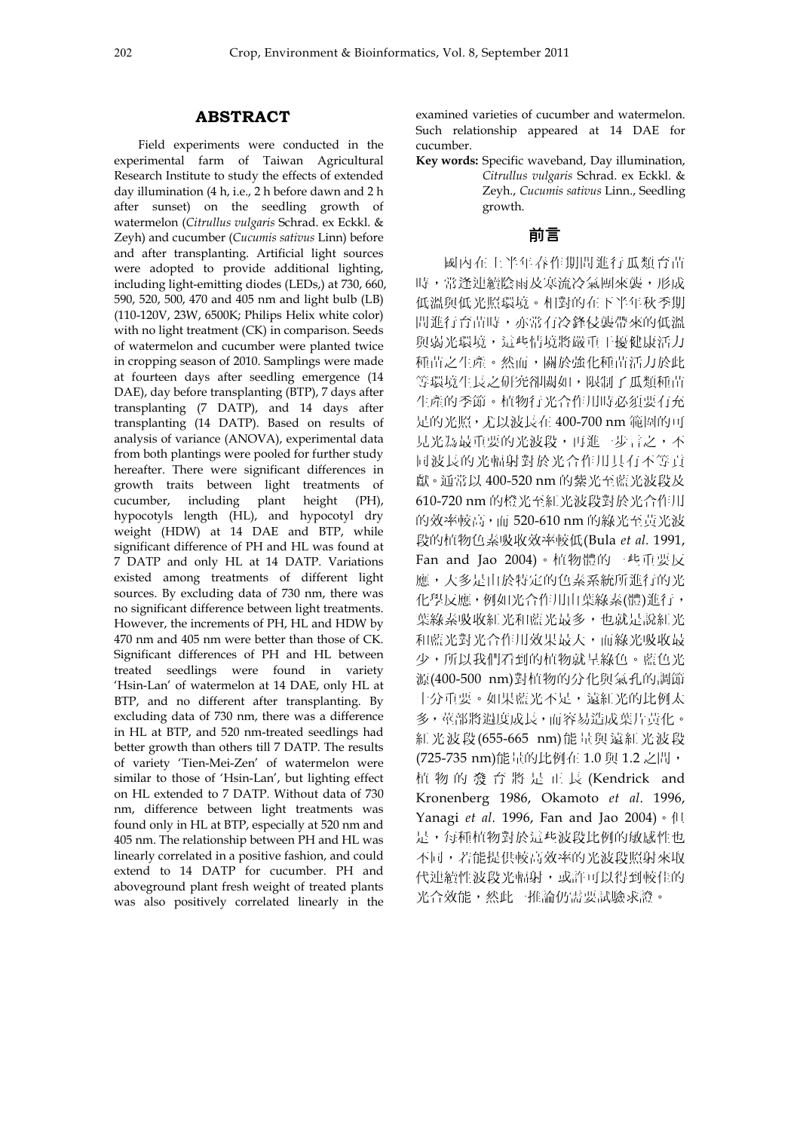#### **ABSTRACT**

Field experiments were conducted in the experimental farm of Taiwan Agricultural Research Institute to study the effects of extended day illumination (4 h, i.e., 2 h before dawn and 2 h after sunset) on the seedling growth of watermelon (*Citrullus vulgaris* Schrad. ex Eckkl. & Zeyh) and cucumber (*Cucumis sativus* Linn) before and after transplanting. Artificial light sources were adopted to provide additional lighting, including light-emitting diodes (LEDs,) at 730, 660, 590, 520, 500, 470 and 405 nm and light bulb (LB) (110-120V, 23W, 6500K; Philips Helix white color) with no light treatment (CK) in comparison. Seeds of watermelon and cucumber were planted twice in cropping season of 2010. Samplings were made at fourteen days after seedling emergence (14 DAE), day before transplanting (BTP), 7 days after transplanting (7 DATP), and 14 days after transplanting (14 DATP). Based on results of analysis of variance (ANOVA), experimental data from both plantings were pooled for further study hereafter. There were significant differences in growth traits between light treatments of cucumber, including plant height (PH), hypocotyls length (HL), and hypocotyl dry weight (HDW) at 14 DAE and BTP, while significant difference of PH and HL was found at 7 DATP and only HL at 14 DATP. Variations existed among treatments of different light sources. By excluding data of 730 nm, there was no significant difference between light treatments. However, the increments of PH, HL and HDW by 470 nm and 405 nm were better than those of CK. Significant differences of PH and HL between treated seedlings were found in variety 'Hsin-Lan' of watermelon at 14 DAE, only HL at BTP, and no different after transplanting. By excluding data of 730 nm, there was a difference in HL at BTP, and 520 nm-treated seedlings had better growth than others till 7 DATP. The results of variety 'Tien-Mei-Zen' of watermelon were similar to those of 'Hsin-Lan', but lighting effect on HL extended to 7 DATP. Without data of 730 nm, difference between light treatments was found only in HL at BTP, especially at 520 nm and 405 nm. The relationship between PH and HL was linearly correlated in a positive fashion, and could extend to 14 DATP for cucumber. PH and aboveground plant fresh weight of treated plants was also positively correlated linearly in the

examined varieties of cucumber and watermelon. Such relationship appeared at 14 DAE for cucumber.

**Key words:** Specific waveband, Day illumination, *Citrullus vulgaris* Schrad. ex Eckkl. & Zeyh., *Cucumis sativus* Linn., Seedling growth.

#### 前言

國內在上半年春作期間進行瓜類育苗 時,常逢連續陰雨及寒流冷氣團來襲,形成 低溫與低光照環境。相對的在下半年秋季期 間進行育苗時,亦常有冷鋒侵襲帶來的低溫 與弱光環境,這些情境將嚴重干擾健康活力 種苗之生產。然而,關於強化種苗活力於此 等環境生長之研究卻闕如,限制了瓜類種苗 生產的季節。植物行光合作用時必須要有充 足的光照,尤以波長在 400-700 nm 範圍的可 見光為最重要的光波段,再進一步言之,不 同波長的光輻射對於光合作用具有不等貢 獻。通常以 400-520 nm 的紫光至藍光波段及 610-720 nm 的橙光至紅光波段對於光合作用 的效率較高,而 520-610 nm 的綠光至黃光波 段的植物色素吸收效率較低(Bula *et al.* 1991, Fan and Jao 2004)。植物體的一些重要反 應,大多是由於特定的色素系統所進行的光 化學反應,例如光合作用由葉綠素(體)進行, 葉綠素吸收紅光和藍光最多,也就是說紅光 和藍光對光合作用效果最大,而綠光吸收最 少,所以我們看到的植物就呈綠色。藍色光 源(400-500 nm)對植物的分化與氣孔的調節 十分重要。如果藍光不足,遠紅光的比例太 多,莖部將過度成長,而容易造成葉片黃化。 紅光波段(655-665 nm)能量與遠紅光波段 (725-735 nm)能量的比例在 1.0 與 1.2 之間, 植物的發育將是正長 (Kendrick and Kronenberg 1986, Okamoto *et al*. 1996, Yanagi *et al.* 1996, Fan and Jao 2004) · 但 是,每種植物對於這些波段比例的敏感性也 不同,若能提供較高效率的光波段照射來取 代連續性波段光輻射,或許可以得到較佳的 光合效能,然此一推論仍需要試驗求證。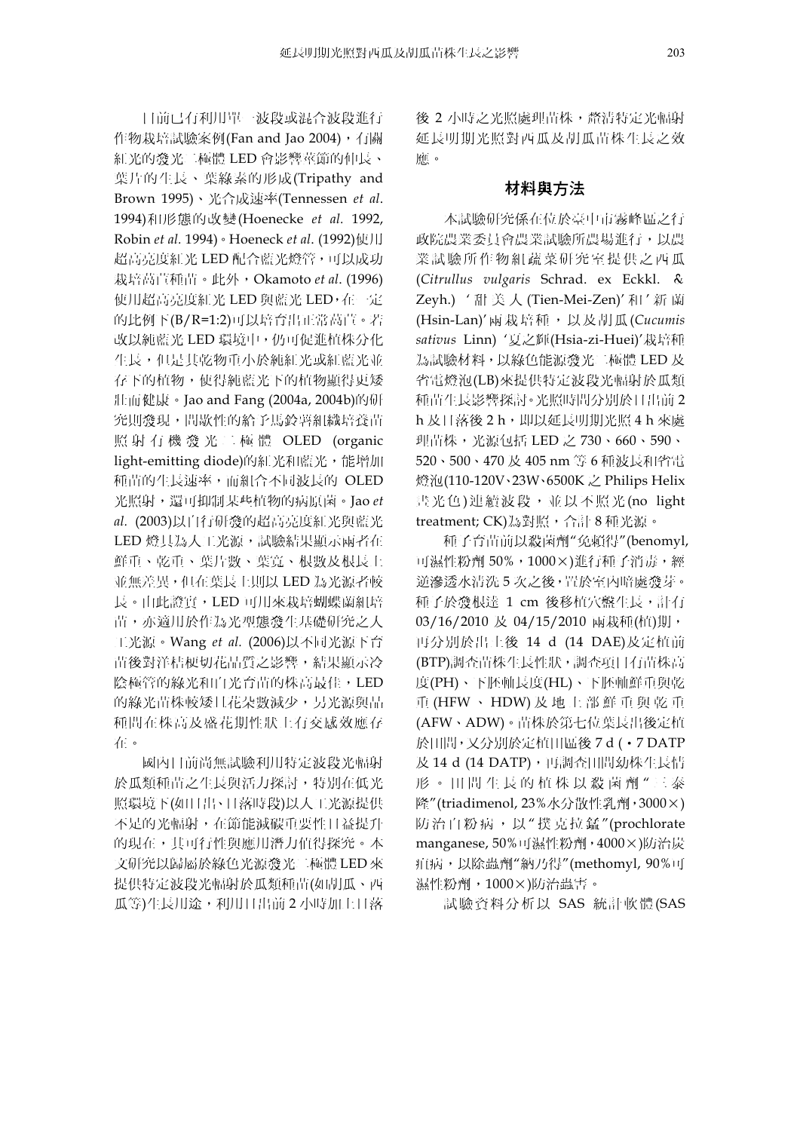目前已有利用單一波段或混合波段進行 作物栽培試驗案例(Fan and Jao 2004),有關 紅光的發光二極體 LED 會影響莖節的伸長、 葉片的生長、葉綠素的形成(Tripathy and Brown 1995)、光合成速率(Tennessen *et al*. 1994)和形態的改變(Hoenecke *et al.* 1992, Robin *et al.* 1994)。Hoeneck *et al*. (1992)使用 超高亮度紅光 LED 配合藍光燈管,可以成功 栽培萵苣種苗。此外,Okamoto *et al*. (1996) 使用超高亮度紅光 LED 與藍光 LED,在一定 的比例下(B/R=1:2)可以培育出正常萵苣。若 改以純藍光 LED 環境中,仍可促進植株分化 生長,但是其乾物重小於純紅光或紅藍光並 存下的植物,使得純藍光下的植物顯得更矮 壯而健康。Jao and Fang (2004a, 2004b)的研 究則發現,間歇性的給予馬鈴薯組織培養苗 照射有機發光二極體 OLED (organic light-emitting diode)的紅光和藍光,能增加 種苗的生長速率,而組合不同波長的 OLED 光照射,還可抑制某些植物的病原菌。Jao *et al.* (2003)以自行研發的超高亮度紅光與藍光 LED 燈具為人工光源,試驗結果顯示兩者在 鮮重、乾重、葉片數、葉寬、根數及根長上 並無差異,但在葉長上則以 LED 為光源者較 長。由此證實,LED 可用來栽培蝴蝶蘭組培 苗,亦適用於作為光型態發生基礎研究之人 工光源。Wang *et al.* (2006)以不同光源下育 苗後對洋桔梗切花品質之影響,結果顯示冷 **陰極管的綠光和白光育苗的株高最佳,LED** 的綠光苗株較矮且花朵數減少,另光源與品 種間在株高及盛花期性狀上有交感效應存 在。

國內目前尚無試驗利用特定波段光輻射 於瓜類種苗之生長與活力探討,特別在低光 照環境下(如日出、日落時段)以人工光源提供 不足的光輻射,在節能減碳重要性日益提升 的現在,其可行性與應用潛力值得探究。本 文研究以歸屬於綠色光源發光二極體 LED 來 提供特定波段光輻射於瓜類種苗(如胡瓜、西 瓜等)生長用途,利用日出前 2 小時加上日落 後 2 小時之光照處理苗株, 釐清特定光輻射 延長明期光照對西瓜及胡瓜苗株生長之效 應。

#### 材料與方法

本試驗研究係在位於臺中市霧峰區之行 政院農業委員會農業試驗所農場進行,以農 業試驗所作物組蔬菜研究室提供之西瓜 (*Citrullus vulgaris* Schrad. ex Eckkl. & Zeyh.) ' 甜美人 (Tien-Mei-Zen)' 和 ' 新 蘭 (Hsin-Lan)'兩栽培種,以及胡瓜 (*Cucumis sativus* Linn) '夏之輝(Hsia-zi-Huei)'栽培種 為試驗材料,以綠色能源發光二極體 LED 及 省電燈泡(LB)來提供特定波段光輻射於瓜類 種苗生長影響探討。光照時間分別於日出前 2 h 及日落後 2 h, 即以延長明期光照 4 h 來處 理苗株,光源包括 LED 之 730、660、590、 520、500、470 及 405 nm 等 6 種波長和省電 燈泡(110-120V、23W、6500K 之 Philips Helix 書光色)連續波段,並以不照光 (no light treatment; CK)為對照,合計 8 種光源。

種子育苗前以殺菌劑"免賴得"(benomyl, 可濕性粉劑 50%,1000×)進行種子消毒,經 逆滲透水清洗 5 次之後,置於室內暗處發芽。 種子於發根達 1 cm 後移植穴盤生長,計有 03/16/2010 及 04/15/2010 兩栽種(植)期, 再分別於出土後 14 d (14 DAE)及定植前 (BTP)調查苗株生長性狀,調查項目有苗株高 度(PH)、下胚軸長度(HL)、下胚軸鮮重與乾 重 (HFW 、 HDW) 及地上部鮮重與乾重 (AFW、ADW)。苗株於第七位葉長出後定植 於田間,又分別於定植田區後 7 d (․7 DATP 及 14 d (14 DATP),再調查田間幼株生長情 形。田間生長的植株以殺菌劑 " 三 泰 隆"(triadimenol, 23%水分散性乳劑,3000×) 防治白粉病,以"撲克拉錳"(prochlorate manganese, 50%可濕性粉劑,4000×)防治炭 疽病,以除蟲劑"納乃得"(methomyl, 90%可 濕性粉劑,1000×)防治蟲害。

試驗資料分析以 SAS 統計軟體(SAS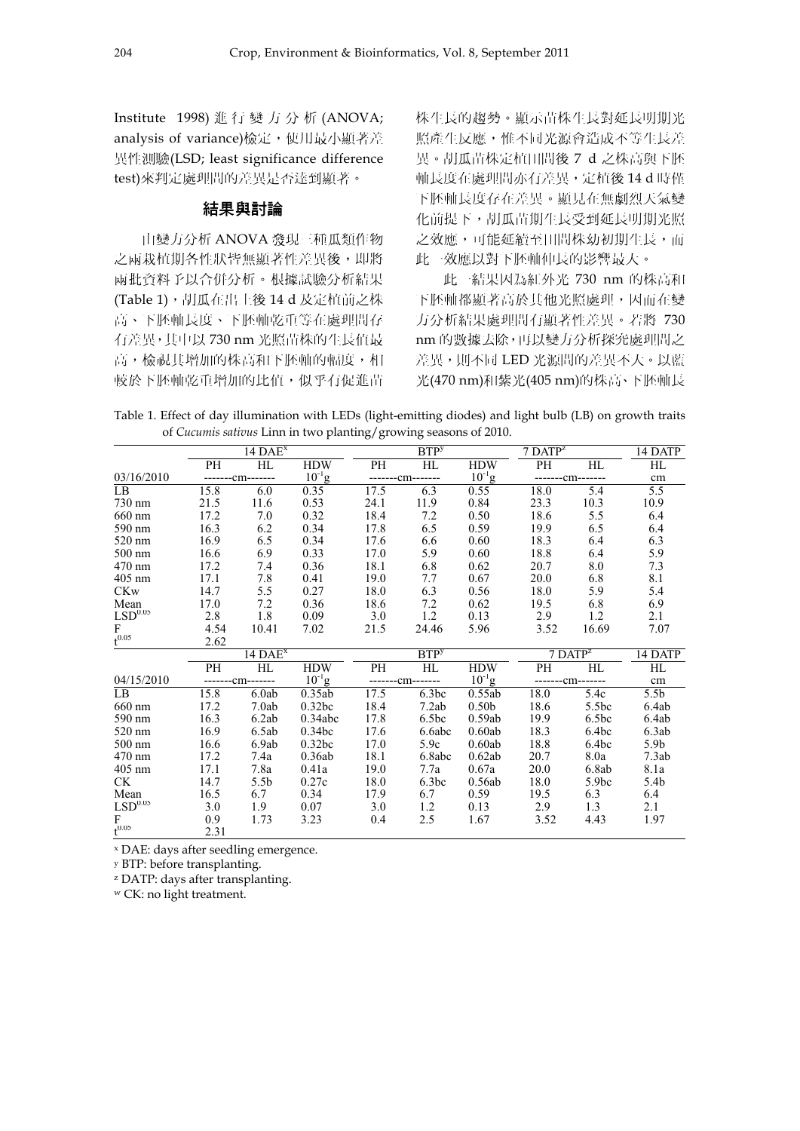Institute 1998) 進行變方分析 (ANOVA; analysis of variance)檢定, 使用最小顯著差 異性測驗(LSD; least significance difference test)來判定處理間的差異是否達到顯著。

#### 結果與討論

由變方分析 ANOVA 發現三種瓜類作物 之兩栽植期各性狀皆無顯著性差異後,即將 兩批資料予以合併分析。根據試驗分析結果 (Table 1), 胡瓜在出土後 14 d 及定植前之株 高、下胚軸長度、下胚軸乾重等在處理間存 有差異,其中以 730 nm 光照苗株的生長值最 高,檢視其增加的株高和下胚軸的輻度,相 較於下胚軸乾重增加的比值,似乎有促進苗 株生長的趨勢。顯示苗株生長對延長明期光 照產生反應,惟不同光源會造成不等生長差 異。胡瓜苗株定植田間後 7 d 之株高與下胚 軸長度在處理間亦有差異,定植後 14 d 時僅 下胚軸長度存在差異。顯見在無劇烈天氣變 化前提下,胡瓜苗期生長受到延長明期光照 之效應,可能延續至田間株幼初期生長,而 此一效應以對下胚軸伸長的影響最大。

此一結果因為紅外光 730 nm 的株高和 下胚軸都顯著高於其他光照處理,因而在變 方分析結果處理間有顯著性差異。若將 730 nm 的數據去除,再以變方分析探究處理間之 差異,則不同 LED 光源間的差異不大。以藍 光(470 nm)和紫光(405 nm)的株高、下胚軸長

|  |  |  | Table 1. Effect of day illumination with LEDs (light-emitting diodes) and light bulb (LB) on growth traits |  |  |  |  |
|--|--|--|------------------------------------------------------------------------------------------------------------|--|--|--|--|
|  |  |  | of <i>Cucumis sativus</i> Linn in two planting/growing seasons of 2010.                                    |  |  |  |  |

|                       |           | $14$ DAE <sup>x</sup> |             |      | <b>BTP</b> <sup>y</sup> |                   | $7$ DAT $P^z$ |                     | 14 DATP          |
|-----------------------|-----------|-----------------------|-------------|------|-------------------------|-------------------|---------------|---------------------|------------------|
|                       | PH        | HL                    | <b>HDW</b>  | PH   | HL                      | <b>HDW</b>        | PH            | HL                  | HL               |
| 03/16/2010            |           | -------cm-------      | $10^{-1}$ g |      | -------cm-------        | $10^{-1}$ g       |               | -------cm-------    | cm               |
| $\overline{LB}$       | 15.8      | 6.0                   | 0.35        | 17.5 | 6.3                     | 0.55              | 18.0          | 5.4                 | 5.5              |
| 730 nm                | 21.5      | 11.6                  | 0.53        | 24.1 | 11.9                    | 0.84              | 23.3          | 10.3                | 10.9             |
| 660 nm                | 17.2      | 7.0                   | 0.32        | 18.4 | 7.2                     | 0.50              | 18.6          | 5.5                 | 6.4              |
| 590 nm                | 16.3      | 6.2                   | 0.34        | 17.8 | 6.5                     | 0.59              | 19.9          | 6.5                 | 6.4              |
| 520 nm                | 16.9      | 6.5                   | 0.34        | 17.6 | 6.6                     | 0.60              | 18.3          | 6.4                 | 6.3              |
| $500 \text{ nm}$      | 16.6      | 6.9                   | 0.33        | 17.0 | 5.9                     | 0.60              | 18.8          | 6.4                 | 5.9              |
| 470 nm                | 17.2      | 7.4                   | 0.36        | 18.1 | 6.8                     | 0.62              | 20.7          | 8.0                 | 7.3              |
| 405 nm                | 17.1      | 7.8                   | 0.41        | 19.0 | 7.7                     | 0.67              | 20.0          | 6.8                 | 8.1              |
| <b>CKw</b>            | 14.7      | 5.5                   | 0.27        | 18.0 | 6.3                     | 0.56              | 18.0          | 5.9                 | 5.4              |
| Mean                  | 17.0      | 7.2                   | 0.36        | 18.6 | 7.2                     | 0.62              | 19.5          | 6.8                 | 6.9              |
| $\mathrm{LSD}^{0.05}$ | 2.8       | 1.8                   | 0.09        | 3.0  | 1.2                     | 0.13              | 2.9           | 1.2                 | 2.1              |
| $\mathbf{F}$          | 4.54      | 10.41                 | 7.02        | 21.5 | 24.46                   | 5.96              | 3.52          | 16.69               | 7.07             |
| $t^{0.05}$            | 2.62      |                       |             |      |                         |                   |               |                     |                  |
|                       |           | $14\overline{DAE^x}$  |             |      | <b>BTP</b> <sup>y</sup> |                   |               | 7 DATP <sup>z</sup> | 14 DATP          |
|                       | <b>PH</b> | HL                    | <b>HDW</b>  | PH   | HL                      | <b>HDW</b>        | PH            | HL                  | HL               |
| 04/15/2010            |           | -------cm-------      | $10^{-1}$ g |      | -------cm-------        | $10^{-1}$ g       |               | -------cm-------    | cm               |
| LB                    | 15.8      | 6.0ab                 | 0.35ab      | 17.5 | 6.3bc                   | 0.55ab            | 18.0          | 5.4c                | 5.5 <sub>b</sub> |
| 660 nm                | 17.2      | 7.0ab                 | 0.32bc      | 18.4 | 7.2ab                   | 0.50 <sub>b</sub> | 18.6          | 5.5bc               | 6.4ab            |
| 590 nm                | 16.3      | 6.2ab                 | 0.34abc     | 17.8 | 6.5 <sub>bc</sub>       | 0.59ab            | 19.9          | 6.5 <sub>bc</sub>   | 6.4ab            |
| 520 nm                | 16.9      | 6.5ab                 | 0.34bc      | 17.6 | 6.6abc                  | 0.60ab            | 18.3          | 6.4bc               | 6.3ab            |
| 500 nm                | 16.6      | 6.9ab                 | 0.32bc      | 17.0 | 5.9c                    | 0.60ab            | 18.8          | 6.4bc               | 5.9 <sub>b</sub> |
| 470 nm                | 17.2      | 7.4a                  | 0.36ab      | 18.1 | 6.8abc                  | 0.62ab            | 20.7          | 8.0a                | 7.3ab            |
| 405 nm                | 17.1      | 7.8a                  | 0.41a       | 19.0 | 7.7a                    | 0.67a             | 20.0          | 6.8ab               | 8.1a             |
| <b>CK</b>             | 14.7      | 5.5 <sub>b</sub>      | 0.27c       | 18.0 | 6.3bc                   | 0.56ab            | 18.0          | 5.9 <sub>bc</sub>   | 5.4b             |
| Mean                  | 16.5      | 6.7                   | 0.34        | 17.9 | 6.7                     | 0.59              | 19.5          | 6.3                 | 6.4              |
| $\mathrm{LSD}^{0.05}$ | 3.0       | 1.9                   | 0.07        | 3.0  | 1.2                     | 0.13              | 2.9           | 1.3                 | 2.1              |
| ${\bf F}$             | 0.9       | 1.73                  | 3.23        | 0.4  | 2.5                     | 1.67              | 3.52          | 4.43                | 1.97             |
| $t^{0.05}$            | 2.31      |                       |             |      |                         |                   |               |                     |                  |

x DAE: days after seedling emergence.

y BTP: before transplanting.

z DATP: days after transplanting.

w CK: no light treatment.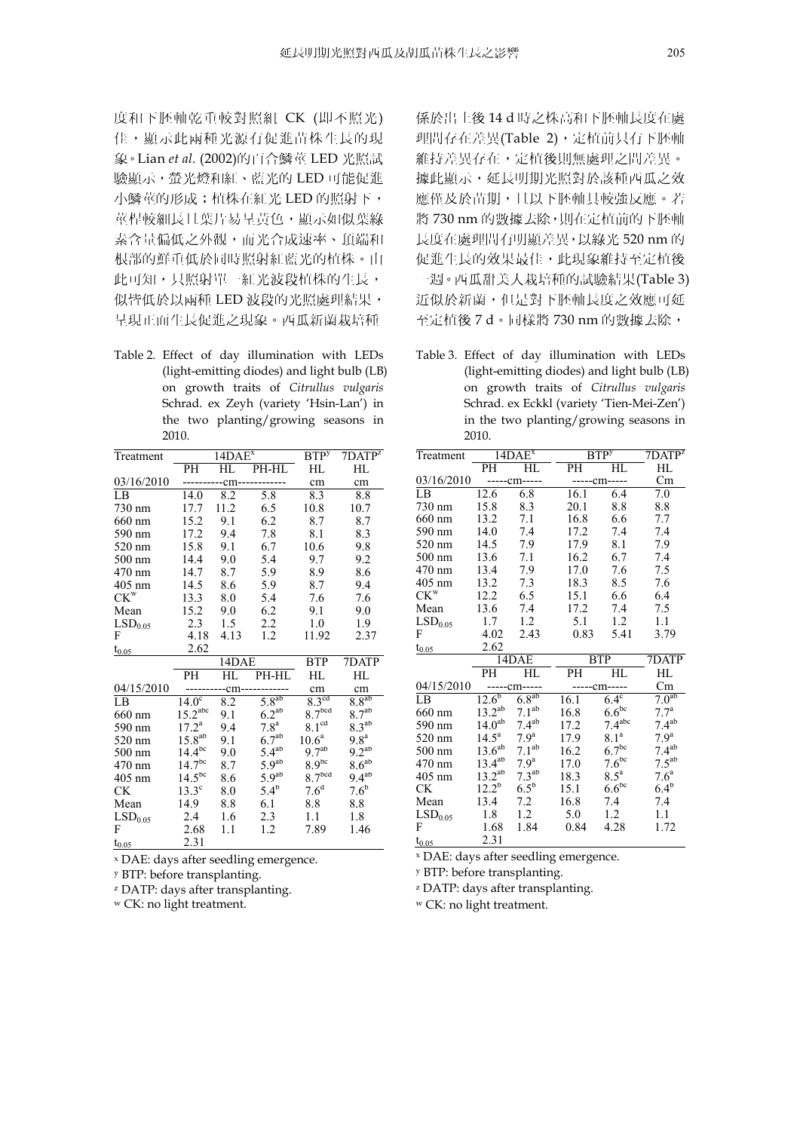度和下胚軸乾重較對照組 CK (即不照光) 佳,顯示此兩種光源有促進苗株生長的現 象。Lian *et al.* (2002)的百合鱗莖 LED 光照試 驗顯示,螢光燈和紅、藍光的 LED 可能促進 小鱗莖的形成;植株在紅光 LED 的照射下, 莖桿較細長且葉片易呈黃色,顯示如似葉綠 素含量偏低之外觀,而光合成速率、頂端和 根部的鮮重低於同時照射紅藍光的植株。由 此可知,只照射單一紅光波段植株的生長, 似皆低於以兩種 LED 波段的光照處理結果, 呈現正面生長促進之現象。西瓜新蘭栽培種

Table 2. Effect of day illumination with LEDs (light-emitting diodes) and light bulb (LB) on growth traits of *Citrullus vulgaris* Schrad. ex Zeyh (variety 'Hsin-Lan') in the two planting/growing seasons in 2010.

| Treatment                  |                       | 14DAE <sup>x</sup> | BTP <sup>y</sup>  | $7DATP^z$          |                   |
|----------------------------|-----------------------|--------------------|-------------------|--------------------|-------------------|
|                            | PH                    | HL                 | PH-HL             | НL                 | HL                |
| 03/16/2010                 |                       | -cm---             |                   | cm                 | cm                |
| LB                         | 14.0                  | 8.2                | 5.8               | 8.3                | 8.8               |
| 730 nm                     | 17.7                  | 11.2               | 6.5               | 10.8               | 10.7              |
| 660 nm                     | 15.2                  | 9.1                | 6.2               | 8.7                | 8.7               |
| 590 nm                     | 17.2                  | 9.4                | 7.8               | 8.1                | 8.3               |
| 520 nm                     | 15.8                  | 9.1                | 6.7               | 10.6               | 9.8               |
| 500 nm                     | 14.4                  | 9.0                | 5.4               | 9.7                | 9.2               |
| 470 nm                     | 14.7                  | 8.7                | 5.9               | 8.9                | 8.6               |
| 405 nm                     | 14.5                  | 8.6                | 5.9               | 8.7                | 9.4               |
| $\mathrm{CK}^{\mathrm{w}}$ | 13.3                  | 8.0                | 5.4               | 7.6                | 7.6               |
| Mean                       | 15.2                  | 9.0                | 6.2               | 9.1                | 9.0               |
| LSD <sub>0.05</sub>        | 2.3                   | 1.5                | 2.2               | 1.0                | 1.9               |
| F                          | 4.18                  | 4.13               | 1.2               | 11.92              | 2.37              |
| $t_{0.05}$                 | 2.62                  |                    |                   |                    |                   |
|                            |                       | 14DAE              | <b>BTP</b>        | 7DATP              |                   |
|                            | PН                    | HL                 | PH-HL             | HL                 | HL                |
| 04/15/2010                 |                       | --cm-              |                   | cm                 | cm                |
| LB                         | $14.0^\circ$          | 8.2                | $5.8^{ab}$        | 8.3 <sup>cd</sup>  | $8.8^{ab}$        |
| 660 nm                     | $15.2$ <sup>abc</sup> | 9.1                | $6.2^{ab}$        | 8.7 <sup>bcd</sup> | 8.7 <sup>ab</sup> |
| 590 nm                     | $17.2^a$              | 9.4                | 7.8 <sup>a</sup>  | 8.1 <sup>cd</sup>  | 8.3 <sup>ab</sup> |
| 520 nm                     | $15.8^{ab}$           | 9.1                | 6.7 <sup>ab</sup> | 10.6 <sup>a</sup>  | 9.8 <sup>a</sup>  |
| 500 nm                     | $14.4^{bc}$           | 9.0                | $5.4^{ab}$        | 9.7 <sup>ab</sup>  | $9.2^{ab}$        |
| 470 nm                     | $14.7^{bc}$           | 8.7                | 5.9 <sup>ab</sup> | $8.9^{bc}$         | 8.6 <sup>ab</sup> |
| 405 nm                     | $14.5^{bc}$           | 8.6                | $5.9^{ab}$        | 8.7 <sup>bcd</sup> | $9.4^{ab}$        |
| <b>CK</b>                  | $13.3^\circ$          | 8.0                | $5.4^{b}$         | $7.6^{\rm d}$      | 7.6 <sup>b</sup>  |
| Mean                       | 14.9                  | 8.8                | 6.1               | 8.8                | 8.8               |
| LSD <sub>0.05</sub>        | 2.4                   | 1.6                | 2.3               | 1.1                | 1.8               |
| F                          | 2.68                  | 1.1                | 1.2               | 7.89               | 1.46              |
| $t_{0.05}$                 | 2.31                  |                    |                   |                    |                   |

x DAE: days after seedling emergence.

y BTP: before transplanting.

z DATP: days after transplanting.

w CK: no light treatment.

係於出土後 14 d 時之株高和下胚軸長度在處 理間存在差異(Table 2), 定植前只有下胚軸 維持差異存在,定植後則無處理之間差異。 據此顯示,延長明期光照對於該種西瓜之效 應僅及於苗期,且以下胚軸具較強反應。若 將 730 nm 的數據去除, 則在定植前的下胚軸 長度在處理間有明顯差異,以綠光 520 nm 的 促進生長的效果最佳,此現象維持至定植後 一週。西瓜甜美人栽培種的試驗結果(Table 3) 近似於新蘭,但是對下胚軸長度之效應可延 至定植後 7 d。同樣將 730 nm 的數據去除,

Table 3. Effect of day illumination with LEDs (light-emitting diodes) and light bulb (LB) on growth traits of *Citrullus vulgaris* Schrad. ex Eckkl (variety 'Tien-Mei-Zen') in the two planting/growing seasons in 2010.

| Treatment           |                    | 14DAE <sup>x</sup>    | <b>BTP</b> y | $7\overline{DATP^z}$ |                   |  |  |
|---------------------|--------------------|-----------------------|--------------|----------------------|-------------------|--|--|
|                     | PH                 | НL                    | PH           | НL                   | HL                |  |  |
| 03/16/2010          | -----cm-----       |                       |              | -----cm-----         |                   |  |  |
| LB                  | 12.6               | 6.8                   | 16.1         | 6.4                  | 7.0               |  |  |
| 730 nm              | 15.8               | 8.3                   | 20.1         | 8.8                  | 8.8               |  |  |
| 660 nm              | 13.2               | 7.1                   | 16.8         | 6.6                  | 7.7               |  |  |
| 590 nm              | 14.0               | 7.4                   | 17.2         | 7.4                  | 7.4               |  |  |
| 520 nm              | 14.5               | 7.9                   | 17.9         | 8.1                  | 7.9               |  |  |
| $500 \text{ nm}$    | 13.6               | 7.1                   | 16.2         | 6.7                  | 7.4               |  |  |
| 470 nm              | 13.4               | 7.9                   | 17.0         | 7.6                  | 7.5               |  |  |
| $405$ nm            | 13.2               | 7.3                   | 18.3         | 8.5                  | 7.6               |  |  |
| $CK^w$              | 12.2               | 6.5                   | 15.1         | 6.6                  | 6.4               |  |  |
| Mean                | 13.6               | 7.4                   | 17.2         | 7.4                  | 7.5               |  |  |
| LSD <sub>0.05</sub> | 1.7                | 1.2                   | 5.1          | 1.2                  | 1.1               |  |  |
| F                   | 4.02               | 2.43                  | 0.83         | 5.41                 | 3.79              |  |  |
| $t_{0.05}$          | 2.62               |                       |              |                      |                   |  |  |
|                     |                    | 14DAE                 |              | <b>BTP</b>           |                   |  |  |
|                     | PH                 | HL                    | PH           | HL                   | HL                |  |  |
| 04/15/2010          |                    | -----cm-----          |              | -----cm-----         | Cm                |  |  |
| LB                  | $12.6^{b}$         | $6.\overline{8^{ab}}$ | 16.1         | $6.4^\circ$          | 7.0 <sup>ab</sup> |  |  |
| 660 nm              | $13.2^{ab}$        | 7.1 <sup>ab</sup>     | 16.8         | $6.6^{bc}$           | $7.7^{\rm a}$     |  |  |
| 590 nm              | 14.0 <sup>ab</sup> | 7.4 <sup>ab</sup>     | 17.2         | 7.4 <sup>abc</sup>   | 7.4 <sup>ab</sup> |  |  |
| 520 nm              | $14.5^{\text{a}}$  | 7.9 <sup>a</sup>      | 17.9         | 8.1 <sup>a</sup>     | 7.9 <sup>a</sup>  |  |  |
| 500 nm              | $13.6^{ab}$        | 7.1 <sup>ab</sup>     | 16.2         | 6.7 <sup>bc</sup>    | $7.4^{ab}$        |  |  |
| 470 nm              | $13.4^{ab}$        | 7.9 <sup>a</sup>      | 17.0         | 7.6 <sup>bc</sup>    | $7.5^{ab}$        |  |  |
| 405 nm              | $13.2^{ab}$        | 7.3 <sup>ab</sup>     | 18.3         | $8.5^{\mathrm{a}}$   | 7.6 <sup>a</sup>  |  |  |
| <b>CK</b>           | $12.2^b$           | $6.5^b$               | 15.1         | $6.6^{bc}$           | $6.4^b$           |  |  |
| Mean                | 13.4               | 7.2                   | 16.8         | 7.4                  | 7.4               |  |  |
| LSD <sub>0.05</sub> | 1.8                | 1.2                   | 5.0          | 1.2                  | 1.1               |  |  |
| F                   | 1.68               | 1.84                  | 0.84         | 4.28                 | 1.72              |  |  |
| $t_{0.05}$          | 2.31               |                       |              |                      |                   |  |  |

x DAE: days after seedling emergence.

y BTP: before transplanting.

z DATP: days after transplanting.

w CK: no light treatment.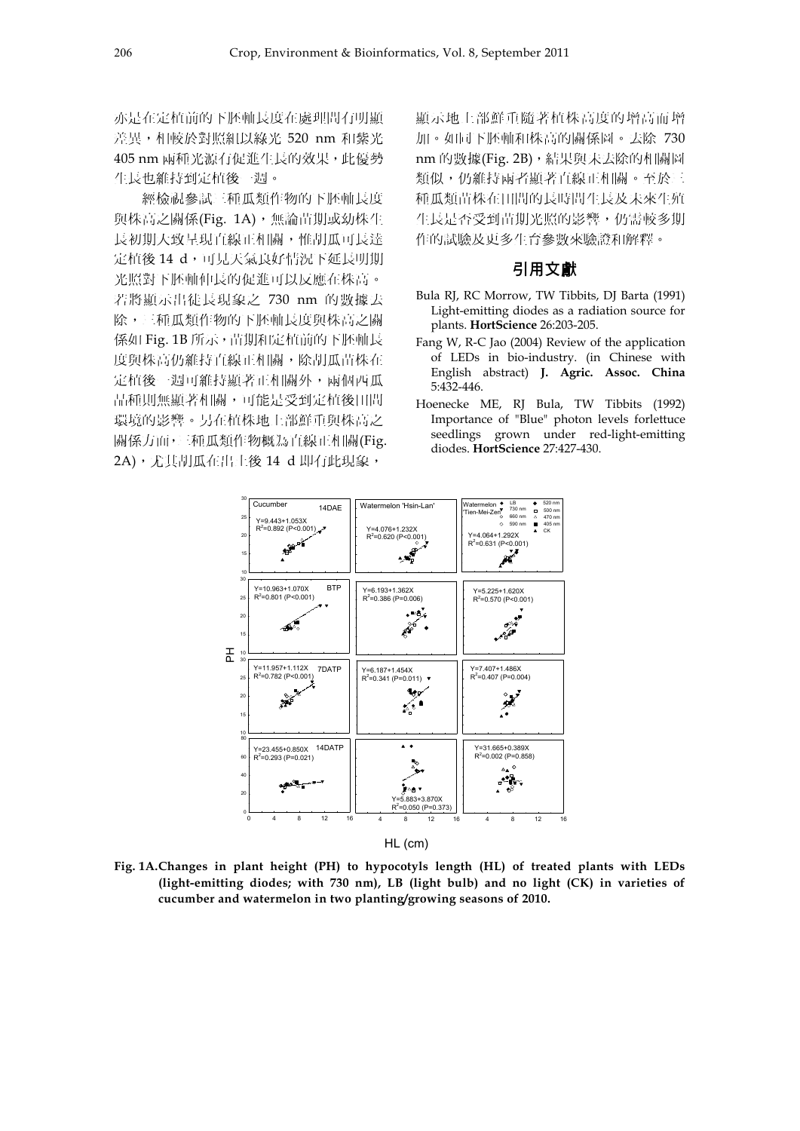亦是在定植前的下胚軸長度在處理間有明顯 差異,相較於對照組以綠光 520 nm 和紫光 405 nm 兩種光源有促進生長的效果,此優勢 生長也維持到定植後一週。

經檢視參試三種瓜類作物的下胚軸長度 與株高之關係(Fig. 1A),無論苗期或幼株生 長初期大致呈現直線正相關,惟胡瓜可長達 定植後 14 d,可見天氣良好情況下延長明期 光照對下胚軸伸長的促進可以反應在株高。 若將顯示出徒長現象之 730 nm 的數據去 除,三種瓜類作物的下胚軸長度與株高之關 係如 Fig. 1B 所示,苗期和定植前的下胚軸長 度與株高仍維持直線正相關,除胡瓜苗株在 定植後一週可維持顯著正相關外,兩個西瓜 品種則無顯著相關,可能是受到定植後田間 環境的影響。另在植株地上部鮮重與株高之 關係方面,三種瓜類作物概為直線正相關(Fig. 2A),尤其胡瓜在出土後 14 d 即有此現象,

顯示地上部鮮重隨著植株高度的增高而增 加。如同下胚軸和株高的關係圖。去除 730 nm 的數據(Fig. 2B),結果與未去除的相關圖 類似,仍維持兩者顯著直線正相關。至於三 種瓜類苗株在田間的長時間生長及未來生殖 生長是否受到苗期光照的影響,仍需較多期 作的試驗及更多生育參數來驗證和解釋。

#### 引用文獻

- Bula RJ, RC Morrow, TW Tibbits, DJ Barta (1991) Light-emitting diodes as a radiation source for plants. **HortScience** 26:203-205.
- Fang W, R-C Jao (2004) Review of the application of LEDs in bio-industry. (in Chinese with English abstract) **J. Agric. Assoc. China**  5:432-446.
- Hoenecke ME, RJ Bula, TW Tibbits (1992) Importance of "Blue" photon levels forlettuce seedlings grown under red-light-emitting diodes. **HortScience** 27:427-430.



**Fig. 1A. Changes in plant height (PH) to hypocotyls length (HL) of treated plants with LEDs (light-emitting diodes; with 730 nm), LB (light bulb) and no light (CK) in varieties of cucumber and watermelon in two planting/growing seasons of 2010.**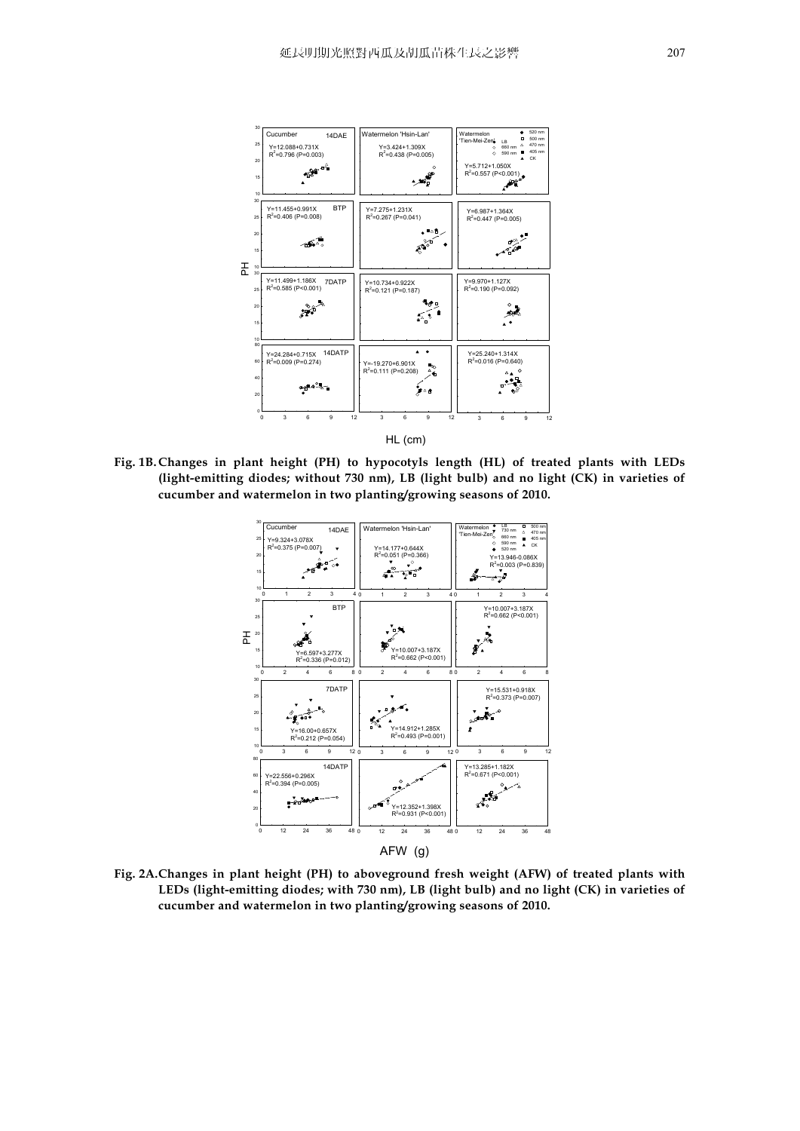

**Fig. 1B. Changes in plant height (PH) to hypocotyls length (HL) of treated plants with LEDs (light-emitting diodes; without 730 nm), LB (light bulb) and no light (CK) in varieties of cucumber and watermelon in two planting/growing seasons of 2010.**



**Fig. 2A. Changes in plant height (PH) to aboveground fresh weight (AFW) of treated plants with LEDs (light-emitting diodes; with 730 nm), LB (light bulb) and no light (CK) in varieties of cucumber and watermelon in two planting/growing seasons of 2010.**